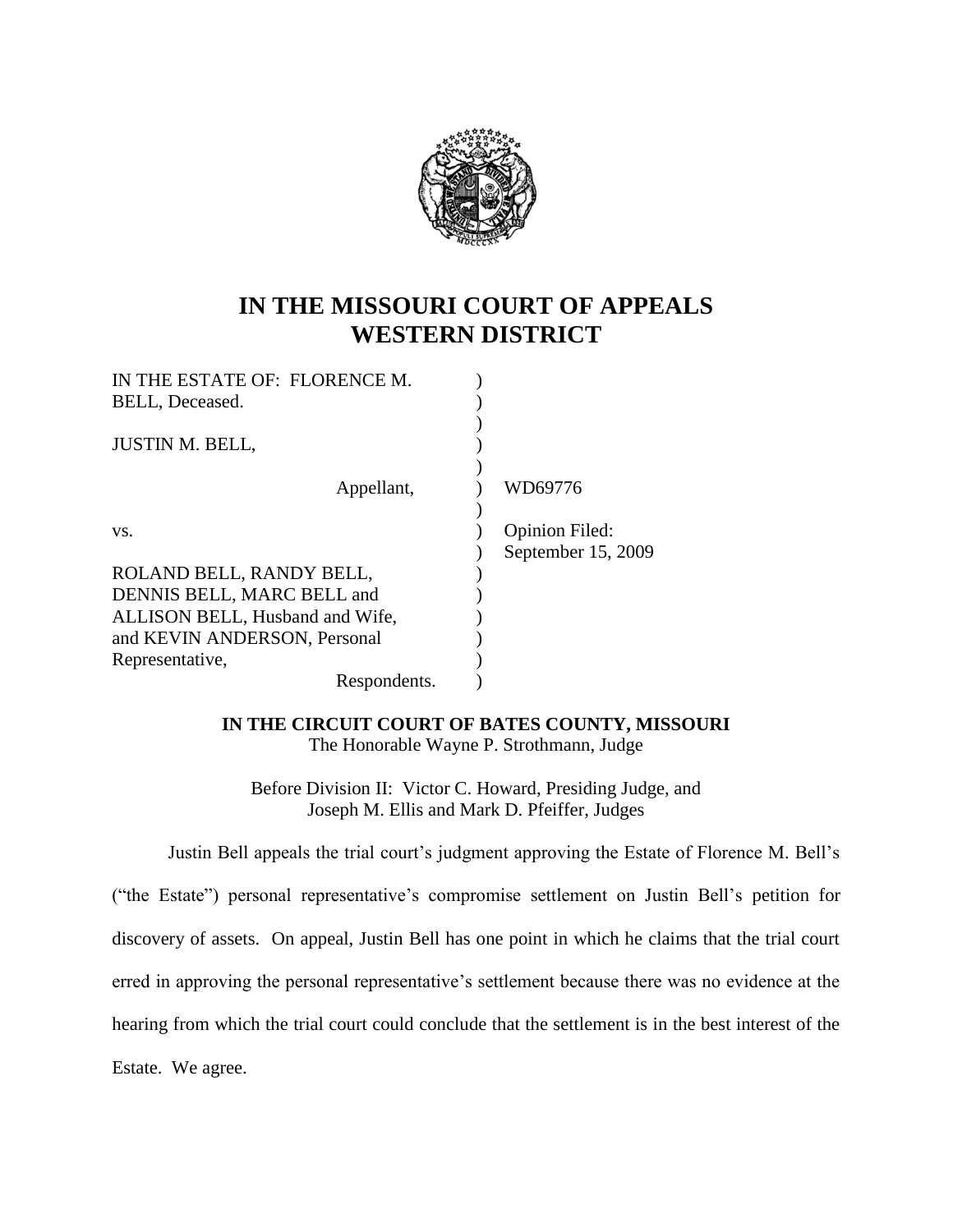

## **IN THE MISSOURI COURT OF APPEALS WESTERN DISTRICT**

| IN THE ESTATE OF: FLORENCE M.   |                       |
|---------------------------------|-----------------------|
| BELL, Deceased.                 |                       |
|                                 |                       |
| <b>JUSTIN M. BELL,</b>          |                       |
|                                 |                       |
| Appellant,                      | WD69776               |
|                                 |                       |
| VS.                             | <b>Opinion Filed:</b> |
|                                 | September 15, 2009    |
| ROLAND BELL, RANDY BELL,        |                       |
| DENNIS BELL, MARC BELL and      |                       |
| ALLISON BELL, Husband and Wife, |                       |
| and KEVIN ANDERSON, Personal    |                       |
| Representative,                 |                       |
| Respondents.                    |                       |

**IN THE CIRCUIT COURT OF BATES COUNTY, MISSOURI** The Honorable Wayne P. Strothmann, Judge

Before Division II: Victor C. Howard, Presiding Judge, and Joseph M. Ellis and Mark D. Pfeiffer, Judges

Justin Bell appeals the trial court's judgment approving the Estate of Florence M. Bell's

("the Estate") personal representative"s compromise settlement on Justin Bell"s petition for discovery of assets. On appeal, Justin Bell has one point in which he claims that the trial court erred in approving the personal representative's settlement because there was no evidence at the hearing from which the trial court could conclude that the settlement is in the best interest of the Estate. We agree.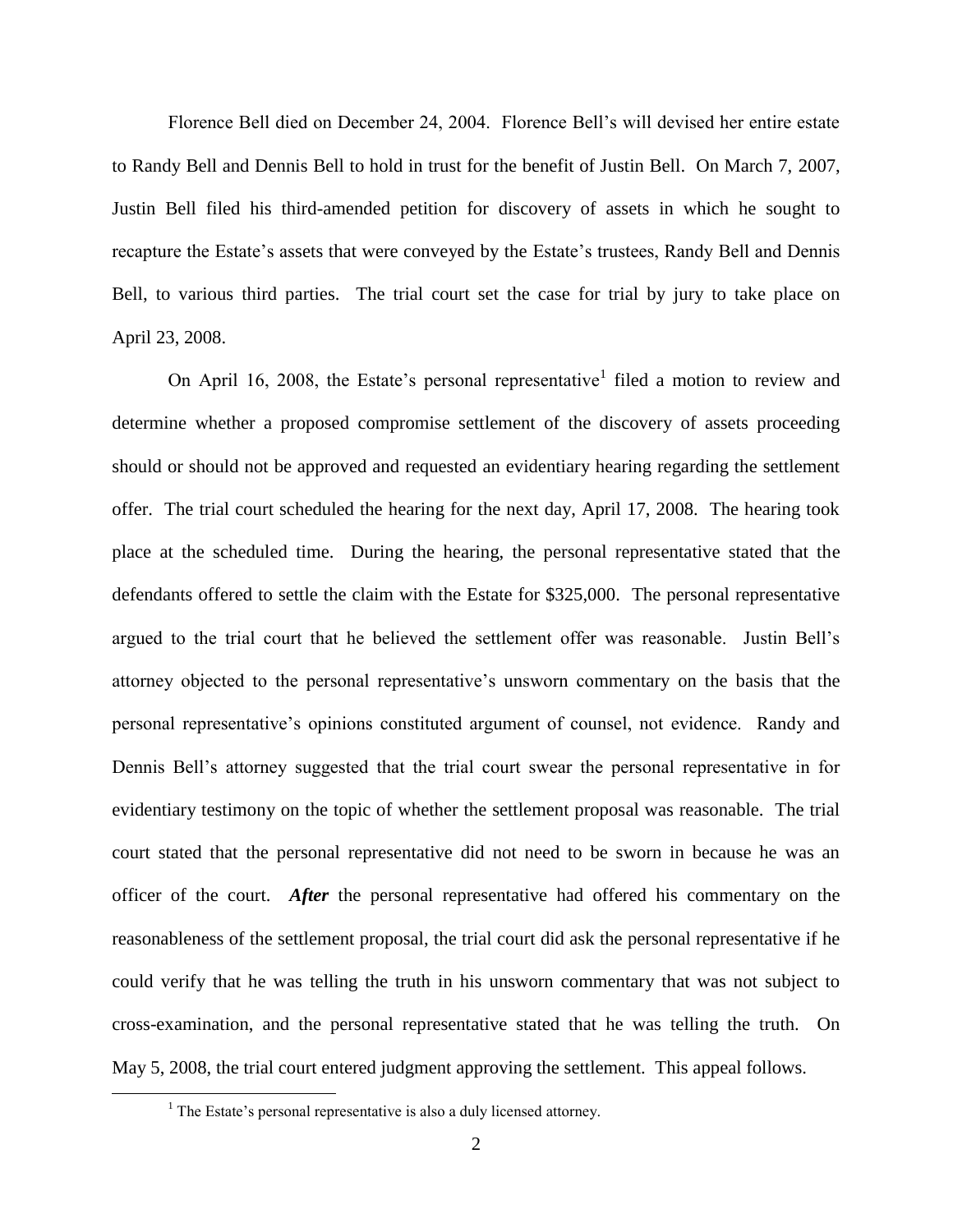Florence Bell died on December 24, 2004. Florence Bell"s will devised her entire estate to Randy Bell and Dennis Bell to hold in trust for the benefit of Justin Bell. On March 7, 2007, Justin Bell filed his third-amended petition for discovery of assets in which he sought to recapture the Estate's assets that were conveyed by the Estate's trustees, Randy Bell and Dennis Bell, to various third parties. The trial court set the case for trial by jury to take place on April 23, 2008.

On April 16, 2008, the Estate's personal representative<sup>1</sup> filed a motion to review and determine whether a proposed compromise settlement of the discovery of assets proceeding should or should not be approved and requested an evidentiary hearing regarding the settlement offer. The trial court scheduled the hearing for the next day, April 17, 2008. The hearing took place at the scheduled time. During the hearing, the personal representative stated that the defendants offered to settle the claim with the Estate for \$325,000. The personal representative argued to the trial court that he believed the settlement offer was reasonable. Justin Bell"s attorney objected to the personal representative"s unsworn commentary on the basis that the personal representative"s opinions constituted argument of counsel, not evidence. Randy and Dennis Bell's attorney suggested that the trial court swear the personal representative in for evidentiary testimony on the topic of whether the settlement proposal was reasonable. The trial court stated that the personal representative did not need to be sworn in because he was an officer of the court. *After* the personal representative had offered his commentary on the reasonableness of the settlement proposal, the trial court did ask the personal representative if he could verify that he was telling the truth in his unsworn commentary that was not subject to cross-examination, and the personal representative stated that he was telling the truth. On May 5, 2008, the trial court entered judgment approving the settlement. This appeal follows.

 $\overline{a}$ 

 $<sup>1</sup>$  The Estate's personal representative is also a duly licensed attorney.</sup>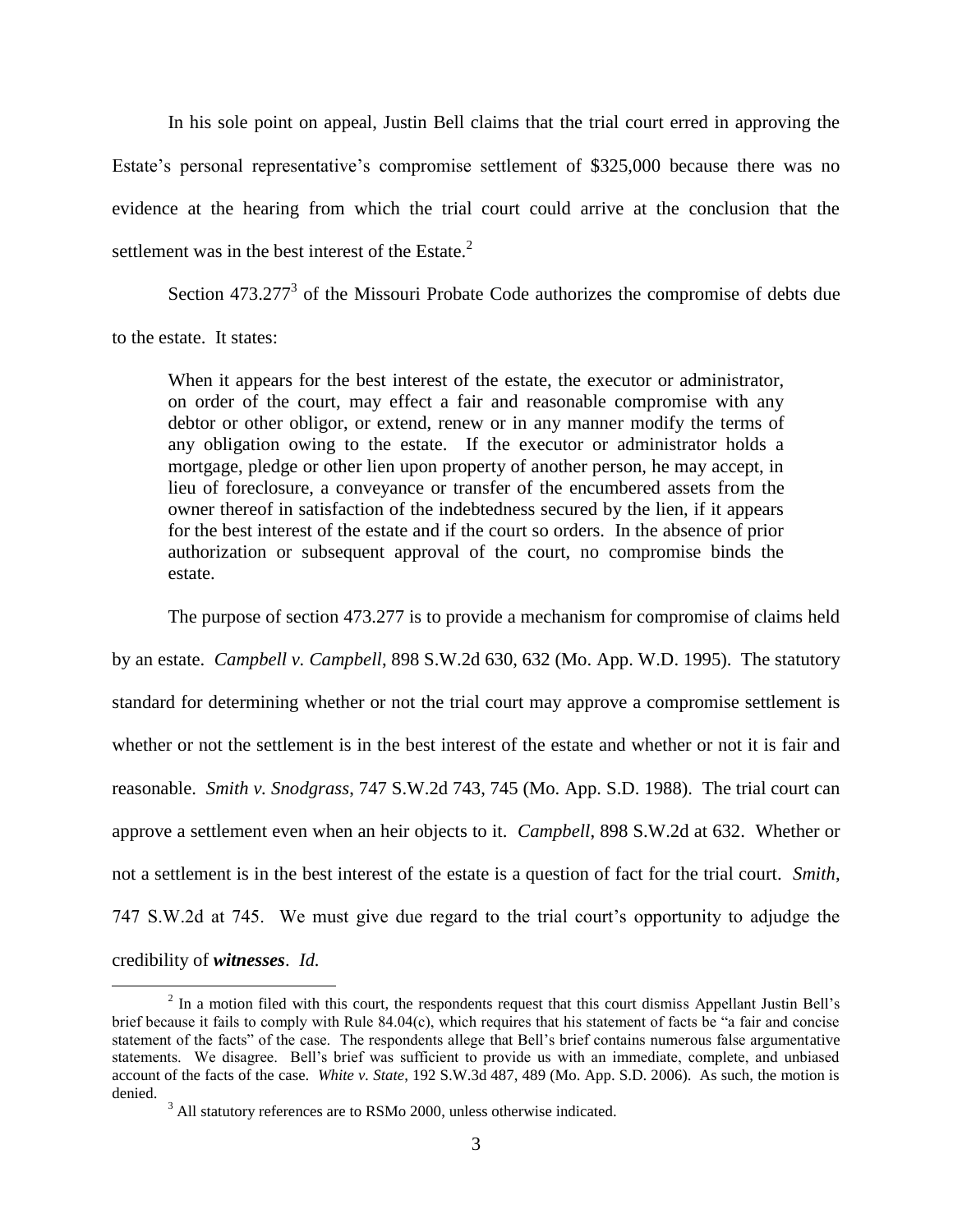In his sole point on appeal, Justin Bell claims that the trial court erred in approving the Estate's personal representative's compromise settlement of \$325,000 because there was no evidence at the hearing from which the trial court could arrive at the conclusion that the settlement was in the best interest of the Estate. $2$ 

Section  $473.277<sup>3</sup>$  of the Missouri Probate Code authorizes the compromise of debts due to the estate. It states:

When it appears for the best interest of the estate, the executor or administrator, on order of the court, may effect a fair and reasonable compromise with any debtor or other obligor, or extend, renew or in any manner modify the terms of any obligation owing to the estate. If the executor or administrator holds a mortgage, pledge or other lien upon property of another person, he may accept, in lieu of foreclosure, a conveyance or transfer of the encumbered assets from the owner thereof in satisfaction of the indebtedness secured by the lien, if it appears for the best interest of the estate and if the court so orders. In the absence of prior authorization or subsequent approval of the court, no compromise binds the estate.

The purpose of section 473.277 is to provide a mechanism for compromise of claims held by an estate. *Campbell v. Campbell*, 898 S.W.2d 630, 632 (Mo. App. W.D. 1995). The statutory standard for determining whether or not the trial court may approve a compromise settlement is whether or not the settlement is in the best interest of the estate and whether or not it is fair and reasonable. *Smith v. Snodgrass*, 747 S.W.2d 743, 745 (Mo. App. S.D. 1988). The trial court can approve a settlement even when an heir objects to it. *Campbell*, 898 S.W.2d at 632. Whether or not a settlement is in the best interest of the estate is a question of fact for the trial court. *Smith*, 747 S.W.2d at 745. We must give due regard to the trial court"s opportunity to adjudge the credibility of *witnesses*. *Id.*

 $\overline{a}$  $2 \text{ In a motion filed with this court, the respondents request that this court dismiss Appendix.}$ brief because it fails to comply with Rule 84.04(c), which requires that his statement of facts be "a fair and concise statement of the facts" of the case. The respondents allege that Bell"s brief contains numerous false argumentative statements. We disagree. Bell"s brief was sufficient to provide us with an immediate, complete, and unbiased account of the facts of the case. *White v. State*, 192 S.W.3d 487, 489 (Mo. App. S.D. 2006). As such, the motion is denied.

<sup>&</sup>lt;sup>3</sup> All statutory references are to RSMo 2000, unless otherwise indicated.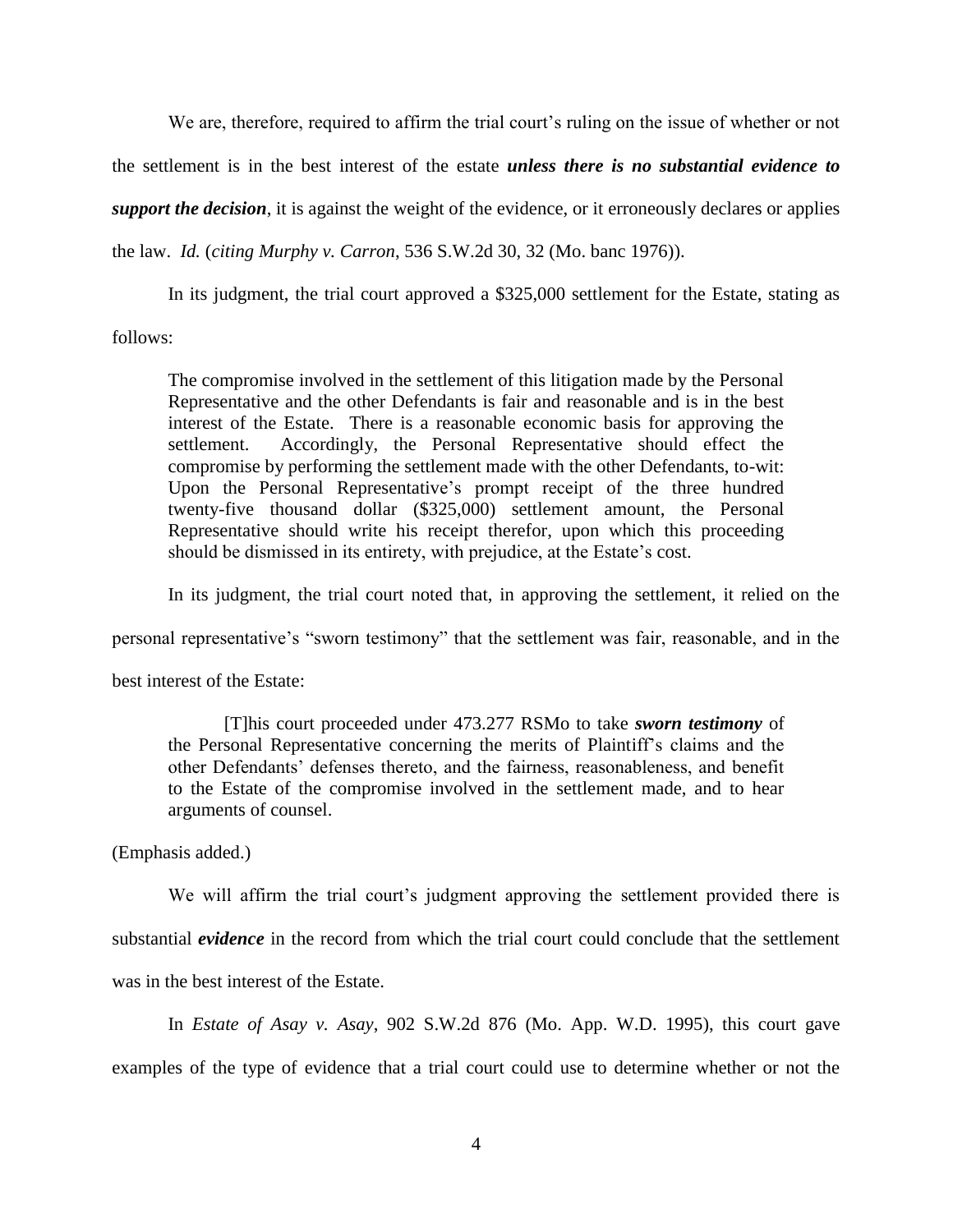We are, therefore, required to affirm the trial court's ruling on the issue of whether or not

the settlement is in the best interest of the estate *unless there is no substantial evidence to*

*support the decision*, it is against the weight of the evidence, or it erroneously declares or applies

the law. *Id.* (*citing Murphy v. Carron*, 536 S.W.2d 30, 32 (Mo. banc 1976)).

In its judgment, the trial court approved a \$325,000 settlement for the Estate, stating as

follows:

The compromise involved in the settlement of this litigation made by the Personal Representative and the other Defendants is fair and reasonable and is in the best interest of the Estate. There is a reasonable economic basis for approving the settlement. Accordingly, the Personal Representative should effect the compromise by performing the settlement made with the other Defendants, to-wit: Upon the Personal Representative"s prompt receipt of the three hundred twenty-five thousand dollar (\$325,000) settlement amount, the Personal Representative should write his receipt therefor, upon which this proceeding should be dismissed in its entirety, with prejudice, at the Estate"s cost.

In its judgment, the trial court noted that, in approving the settlement, it relied on the

personal representative's "sworn testimony" that the settlement was fair, reasonable, and in the

best interest of the Estate:

[T]his court proceeded under 473.277 RSMo to take *sworn testimony* of the Personal Representative concerning the merits of Plaintiff"s claims and the other Defendants" defenses thereto, and the fairness, reasonableness, and benefit to the Estate of the compromise involved in the settlement made, and to hear arguments of counsel.

(Emphasis added.)

We will affirm the trial court's judgment approving the settlement provided there is substantial *evidence* in the record from which the trial court could conclude that the settlement was in the best interest of the Estate.

In *Estate of Asay v. Asay*, 902 S.W.2d 876 (Mo. App. W.D. 1995), this court gave examples of the type of evidence that a trial court could use to determine whether or not the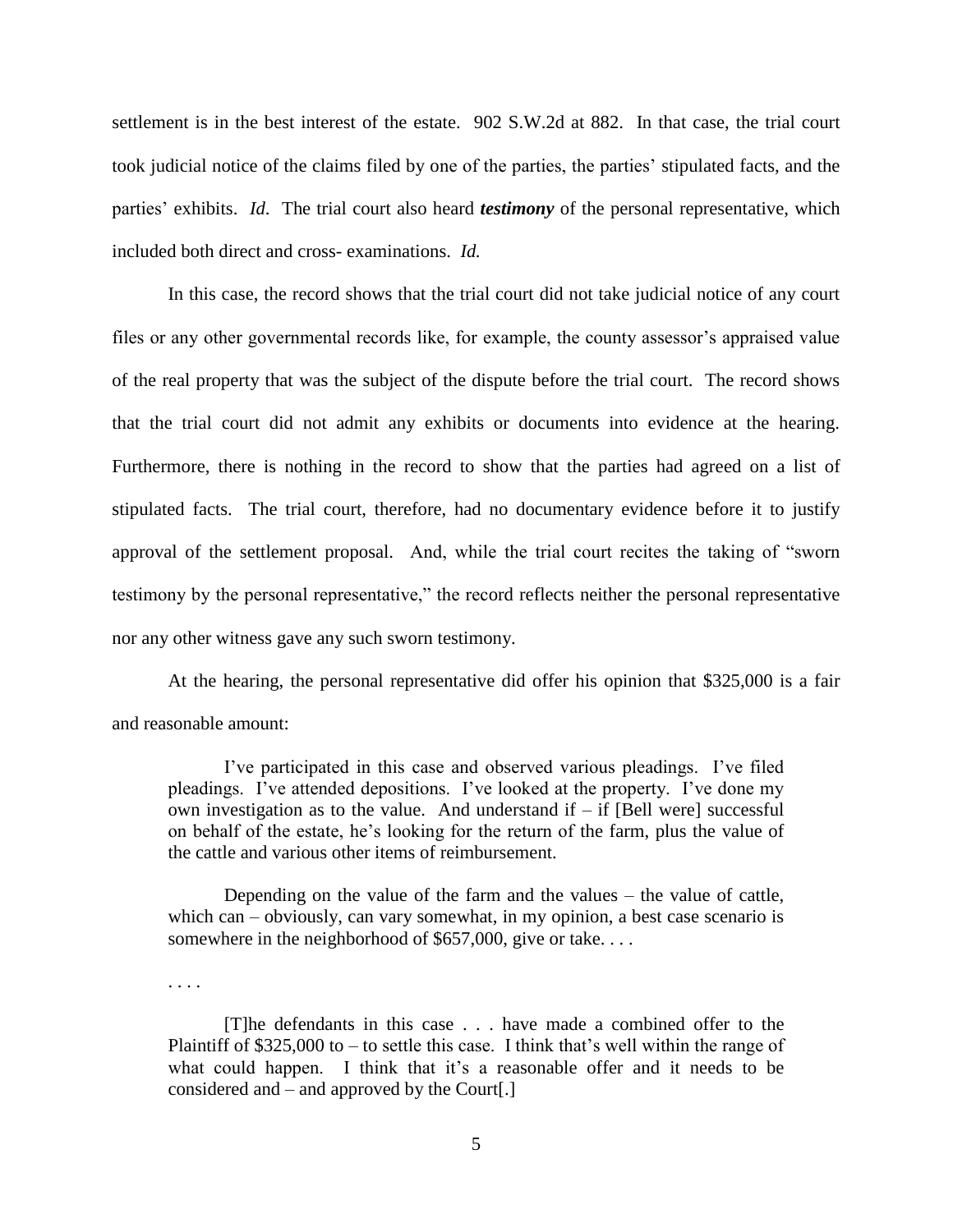settlement is in the best interest of the estate. 902 S.W.2d at 882. In that case, the trial court took judicial notice of the claims filed by one of the parties, the parties" stipulated facts, and the parties" exhibits. *Id*. The trial court also heard *testimony* of the personal representative, which included both direct and cross- examinations. *Id.*

In this case, the record shows that the trial court did not take judicial notice of any court files or any other governmental records like, for example, the county assessor's appraised value of the real property that was the subject of the dispute before the trial court. The record shows that the trial court did not admit any exhibits or documents into evidence at the hearing. Furthermore, there is nothing in the record to show that the parties had agreed on a list of stipulated facts. The trial court, therefore, had no documentary evidence before it to justify approval of the settlement proposal. And, while the trial court recites the taking of "sworn testimony by the personal representative," the record reflects neither the personal representative nor any other witness gave any such sworn testimony.

At the hearing, the personal representative did offer his opinion that \$325,000 is a fair and reasonable amount:

I"ve participated in this case and observed various pleadings. I"ve filed pleadings. I"ve attended depositions. I"ve looked at the property. I"ve done my own investigation as to the value. And understand if  $-$  if [Bell were] successful on behalf of the estate, he"s looking for the return of the farm, plus the value of the cattle and various other items of reimbursement.

Depending on the value of the farm and the values – the value of cattle, which can – obviously, can vary somewhat, in my opinion, a best case scenario is somewhere in the neighborhood of \$657,000, give or take....

. . . .

[T]he defendants in this case . . . have made a combined offer to the Plaintiff of  $$325,000$  to  $-$  to settle this case. I think that's well within the range of what could happen. I think that it's a reasonable offer and it needs to be considered and – and approved by the Court[.]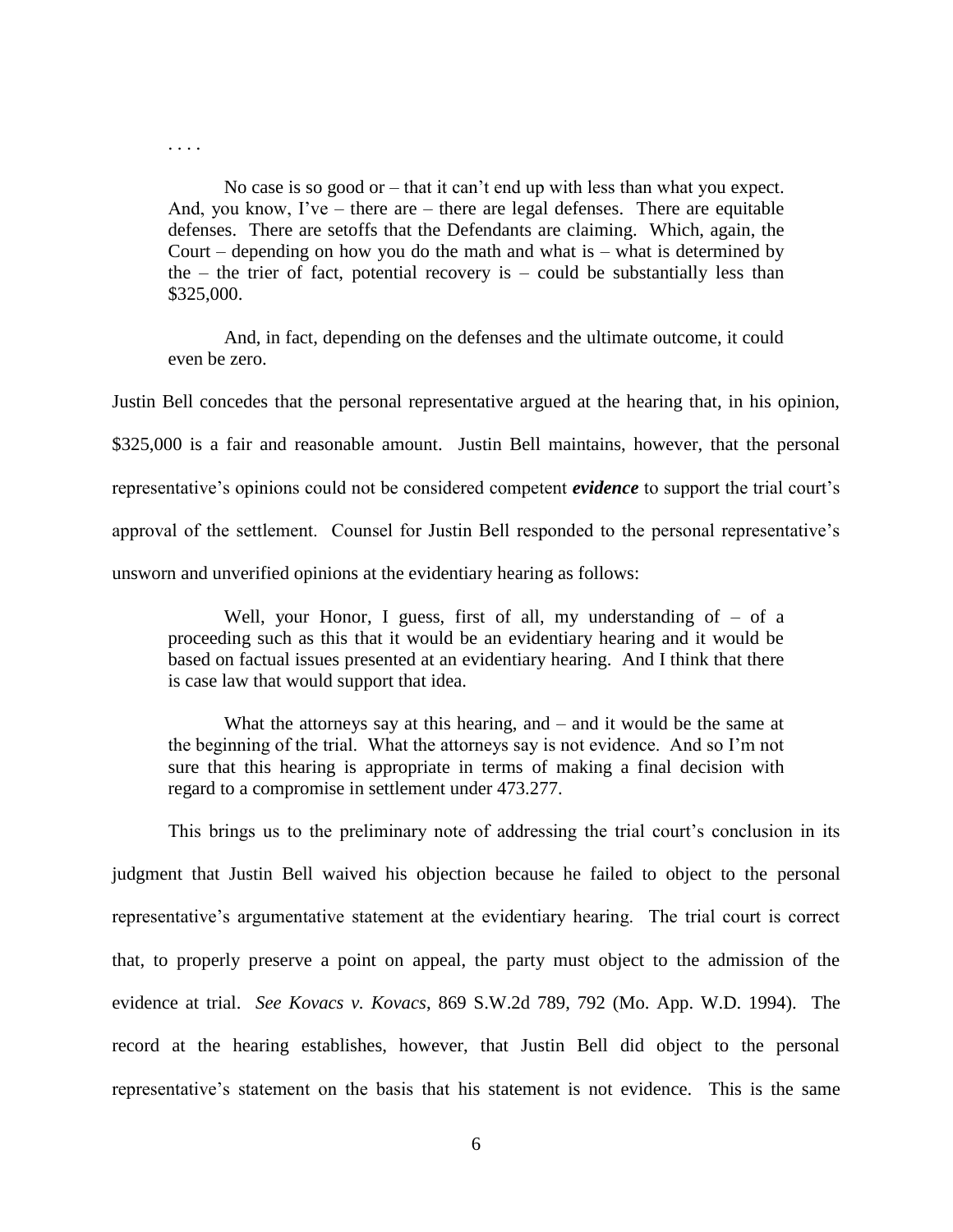. . . .

No case is so good or  $-$  that it can't end up with less than what you expect. And, you know, I've – there are – there are legal defenses. There are equitable defenses. There are setoffs that the Defendants are claiming. Which, again, the Court – depending on how you do the math and what is – what is determined by the  $-$  the trier of fact, potential recovery is  $-$  could be substantially less than \$325,000.

And, in fact, depending on the defenses and the ultimate outcome, it could even be zero.

Justin Bell concedes that the personal representative argued at the hearing that, in his opinion, \$325,000 is a fair and reasonable amount. Justin Bell maintains, however, that the personal representative's opinions could not be considered competent *evidence* to support the trial court's approval of the settlement. Counsel for Justin Bell responded to the personal representative"s unsworn and unverified opinions at the evidentiary hearing as follows:

Well, your Honor, I guess, first of all, my understanding of  $-$  of a proceeding such as this that it would be an evidentiary hearing and it would be based on factual issues presented at an evidentiary hearing. And I think that there is case law that would support that idea.

What the attorneys say at this hearing, and – and it would be the same at the beginning of the trial. What the attorneys say is not evidence. And so I"m not sure that this hearing is appropriate in terms of making a final decision with regard to a compromise in settlement under 473.277.

This brings us to the preliminary note of addressing the trial court's conclusion in its judgment that Justin Bell waived his objection because he failed to object to the personal representative's argumentative statement at the evidentiary hearing. The trial court is correct that, to properly preserve a point on appeal, the party must object to the admission of the evidence at trial. *See Kovacs v. Kovacs*, 869 S.W.2d 789, 792 (Mo. App. W.D. 1994). The record at the hearing establishes, however, that Justin Bell did object to the personal representative"s statement on the basis that his statement is not evidence. This is the same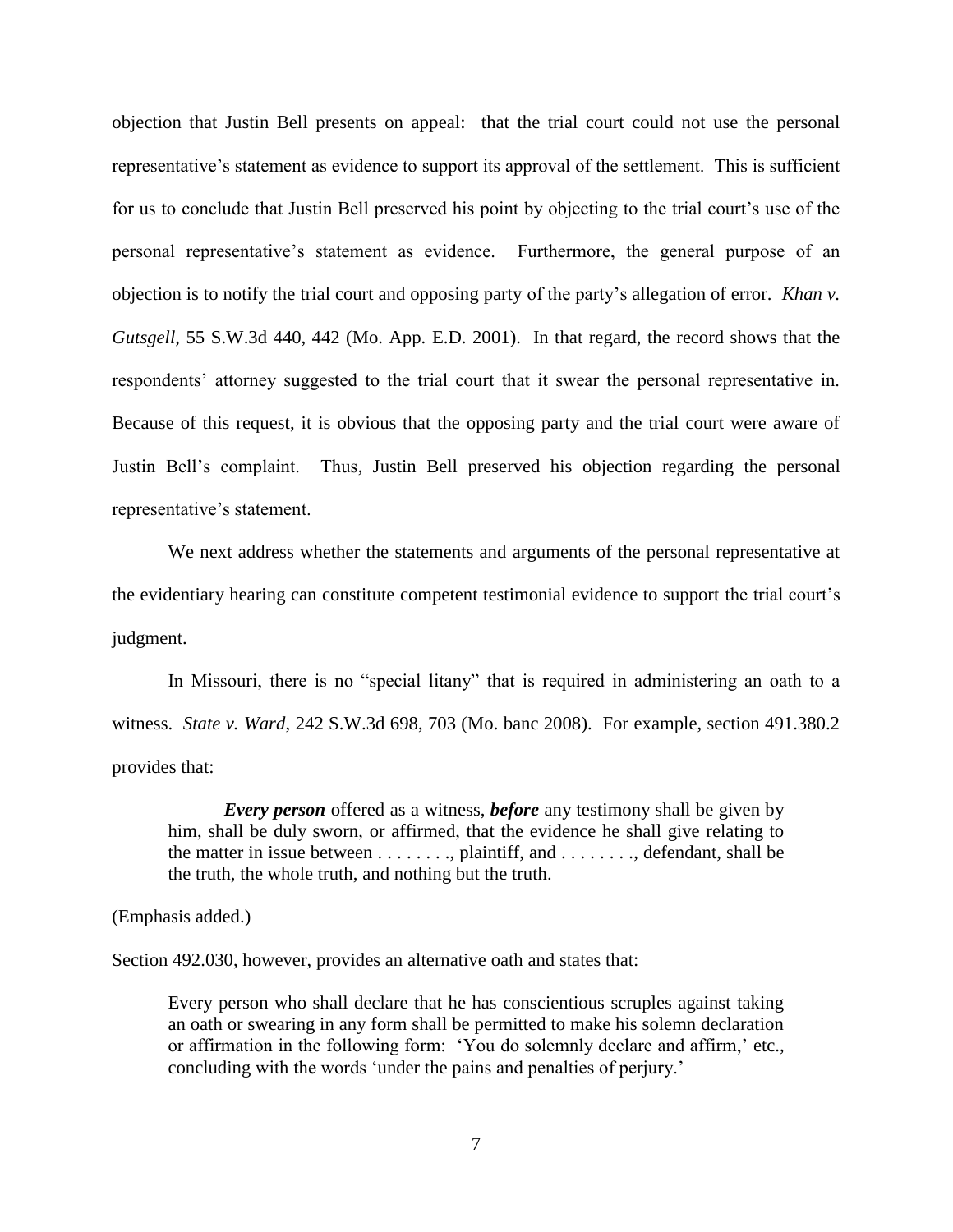objection that Justin Bell presents on appeal: that the trial court could not use the personal representative"s statement as evidence to support its approval of the settlement. This is sufficient for us to conclude that Justin Bell preserved his point by objecting to the trial court"s use of the personal representative"s statement as evidence. Furthermore, the general purpose of an objection is to notify the trial court and opposing party of the party"s allegation of error. *Khan v. Gutsgell*, 55 S.W.3d 440, 442 (Mo. App. E.D. 2001). In that regard, the record shows that the respondents' attorney suggested to the trial court that it swear the personal representative in. Because of this request, it is obvious that the opposing party and the trial court were aware of Justin Bell"s complaint. Thus, Justin Bell preserved his objection regarding the personal representative"s statement.

We next address whether the statements and arguments of the personal representative at the evidentiary hearing can constitute competent testimonial evidence to support the trial court"s judgment.

In Missouri, there is no "special litany" that is required in administering an oath to a witness. *State v. Ward*, 242 S.W.3d 698, 703 (Mo. banc 2008). For example, section 491.380.2 provides that:

*Every person* offered as a witness, *before* any testimony shall be given by him, shall be duly sworn, or affirmed, that the evidence he shall give relating to the matter in issue between . . . . . . . ., plaintiff, and . . . . . . . ., defendant, shall be the truth, the whole truth, and nothing but the truth.

## (Emphasis added.)

Section 492.030, however, provides an alternative oath and states that:

Every person who shall declare that he has conscientious scruples against taking an oath or swearing in any form shall be permitted to make his solemn declaration or affirmation in the following form: 'You do solemnly declare and affirm,' etc., concluding with the words 'under the pains and penalties of perjury.'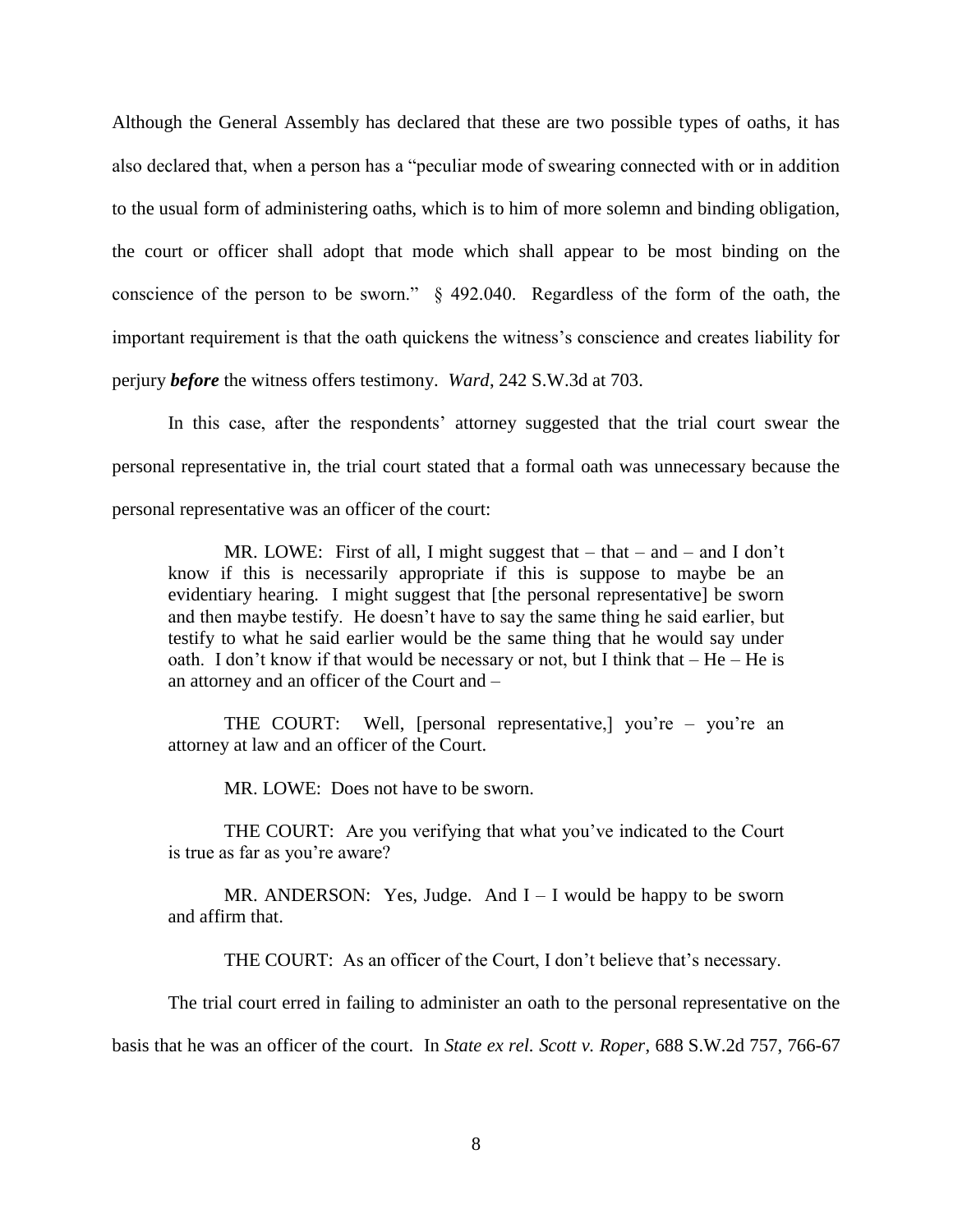Although the General Assembly has declared that these are two possible types of oaths, it has also declared that, when a person has a "peculiar mode of swearing connected with or in addition to the usual form of administering oaths, which is to him of more solemn and binding obligation, the court or officer shall adopt that mode which shall appear to be most binding on the conscience of the person to be sworn." § 492.040. Regardless of the form of the oath, the important requirement is that the oath quickens the witness"s conscience and creates liability for perjury *before* the witness offers testimony. *Ward*, 242 S.W.3d at 703.

In this case, after the respondents' attorney suggested that the trial court swear the personal representative in, the trial court stated that a formal oath was unnecessary because the personal representative was an officer of the court:

MR. LOWE: First of all, I might suggest that  $-$  that  $-$  and  $-$  and I don't know if this is necessarily appropriate if this is suppose to maybe be an evidentiary hearing. I might suggest that [the personal representative] be sworn and then maybe testify. He doesn"t have to say the same thing he said earlier, but testify to what he said earlier would be the same thing that he would say under oath. I don't know if that would be necessary or not, but I think that  $-$  He  $-$  He is an attorney and an officer of the Court and –

THE COURT: Well, [personal representative,] you're – you're an attorney at law and an officer of the Court.

MR. LOWE: Does not have to be sworn.

THE COURT: Are you verifying that what you"ve indicated to the Court is true as far as you"re aware?

MR. ANDERSON: Yes, Judge. And  $I - I$  would be happy to be sworn and affirm that.

THE COURT: As an officer of the Court, I don't believe that's necessary.

The trial court erred in failing to administer an oath to the personal representative on the

basis that he was an officer of the court. In *State ex rel. Scott v. Roper*, 688 S.W.2d 757, 766-67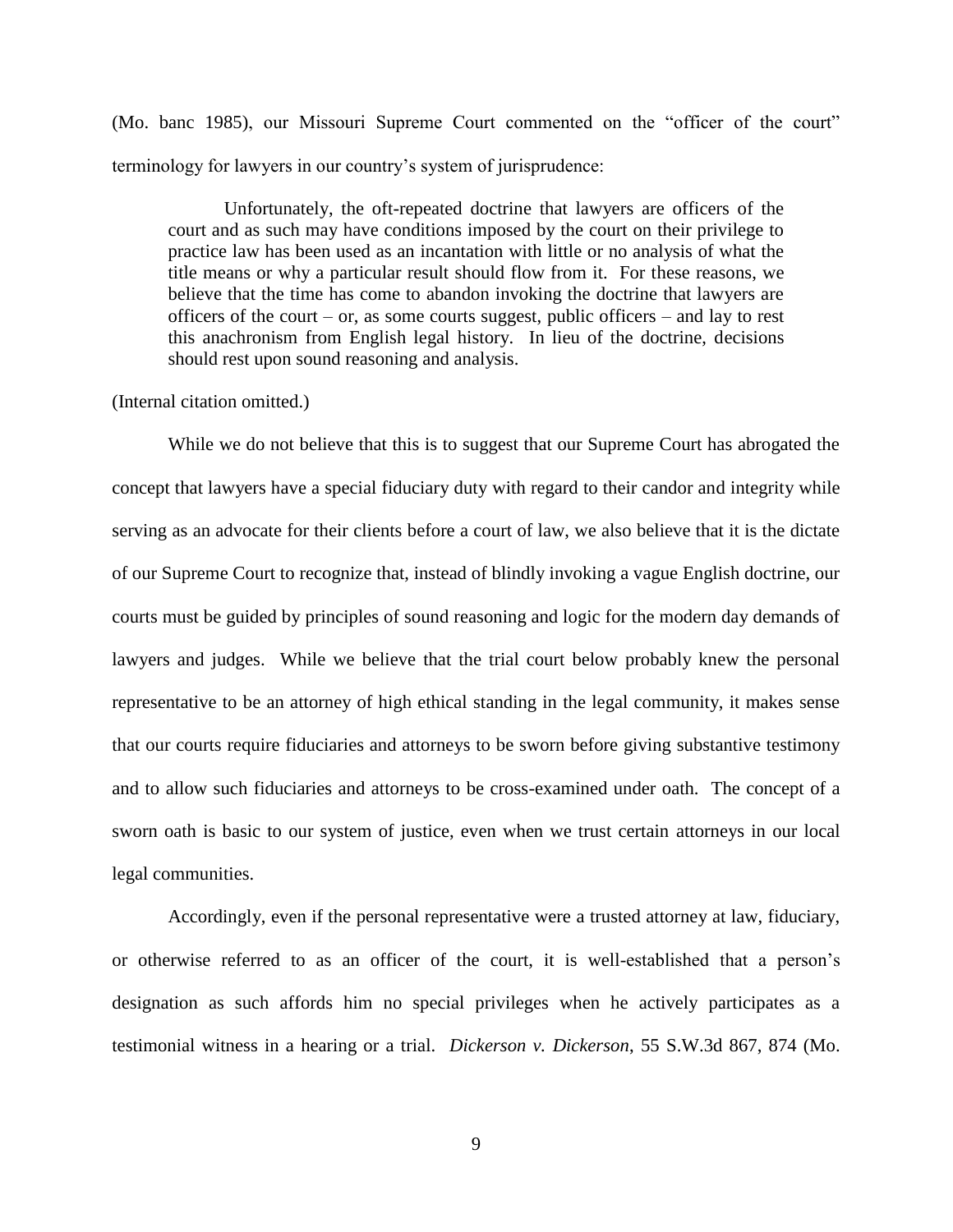(Mo. banc 1985), our Missouri Supreme Court commented on the "officer of the court" terminology for lawyers in our country"s system of jurisprudence:

Unfortunately, the oft-repeated doctrine that lawyers are officers of the court and as such may have conditions imposed by the court on their privilege to practice law has been used as an incantation with little or no analysis of what the title means or why a particular result should flow from it. For these reasons, we believe that the time has come to abandon invoking the doctrine that lawyers are officers of the court – or, as some courts suggest, public officers – and lay to rest this anachronism from English legal history. In lieu of the doctrine, decisions should rest upon sound reasoning and analysis.

## (Internal citation omitted.)

While we do not believe that this is to suggest that our Supreme Court has abrogated the concept that lawyers have a special fiduciary duty with regard to their candor and integrity while serving as an advocate for their clients before a court of law, we also believe that it is the dictate of our Supreme Court to recognize that, instead of blindly invoking a vague English doctrine, our courts must be guided by principles of sound reasoning and logic for the modern day demands of lawyers and judges. While we believe that the trial court below probably knew the personal representative to be an attorney of high ethical standing in the legal community, it makes sense that our courts require fiduciaries and attorneys to be sworn before giving substantive testimony and to allow such fiduciaries and attorneys to be cross-examined under oath. The concept of a sworn oath is basic to our system of justice, even when we trust certain attorneys in our local legal communities.

Accordingly, even if the personal representative were a trusted attorney at law, fiduciary, or otherwise referred to as an officer of the court, it is well-established that a person"s designation as such affords him no special privileges when he actively participates as a testimonial witness in a hearing or a trial. *Dickerson v. Dickerson*, 55 S.W.3d 867, 874 (Mo.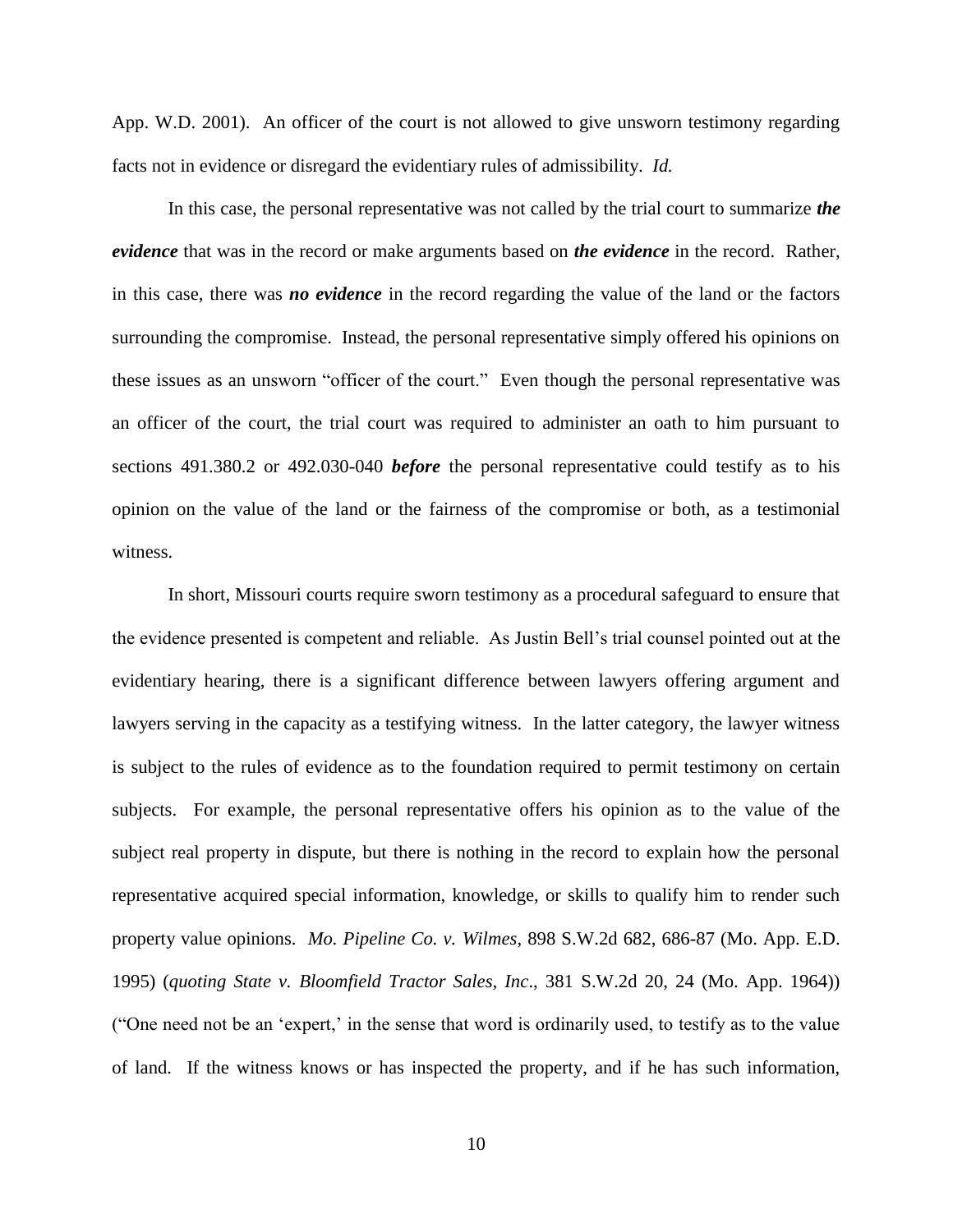App. W.D. 2001). An officer of the court is not allowed to give unsworn testimony regarding facts not in evidence or disregard the evidentiary rules of admissibility. *Id.*

In this case, the personal representative was not called by the trial court to summarize *the evidence* that was in the record or make arguments based on *the evidence* in the record. Rather, in this case, there was *no evidence* in the record regarding the value of the land or the factors surrounding the compromise. Instead, the personal representative simply offered his opinions on these issues as an unsworn "officer of the court." Even though the personal representative was an officer of the court, the trial court was required to administer an oath to him pursuant to sections 491.380.2 or 492.030-040 *before* the personal representative could testify as to his opinion on the value of the land or the fairness of the compromise or both, as a testimonial witness.

In short, Missouri courts require sworn testimony as a procedural safeguard to ensure that the evidence presented is competent and reliable. As Justin Bell"s trial counsel pointed out at the evidentiary hearing, there is a significant difference between lawyers offering argument and lawyers serving in the capacity as a testifying witness. In the latter category, the lawyer witness is subject to the rules of evidence as to the foundation required to permit testimony on certain subjects. For example, the personal representative offers his opinion as to the value of the subject real property in dispute, but there is nothing in the record to explain how the personal representative acquired special information, knowledge, or skills to qualify him to render such property value opinions. *Mo. Pipeline Co. v. Wilmes*, 898 S.W.2d 682, 686-87 (Mo. App. E.D. 1995) (*quoting State v. Bloomfield Tractor Sales, Inc*., 381 S.W.2d 20, 24 (Mo. App. 1964)) ("One need not be an "expert," in the sense that word is ordinarily used, to testify as to the value of land. If the witness knows or has inspected the property, and if he has such information,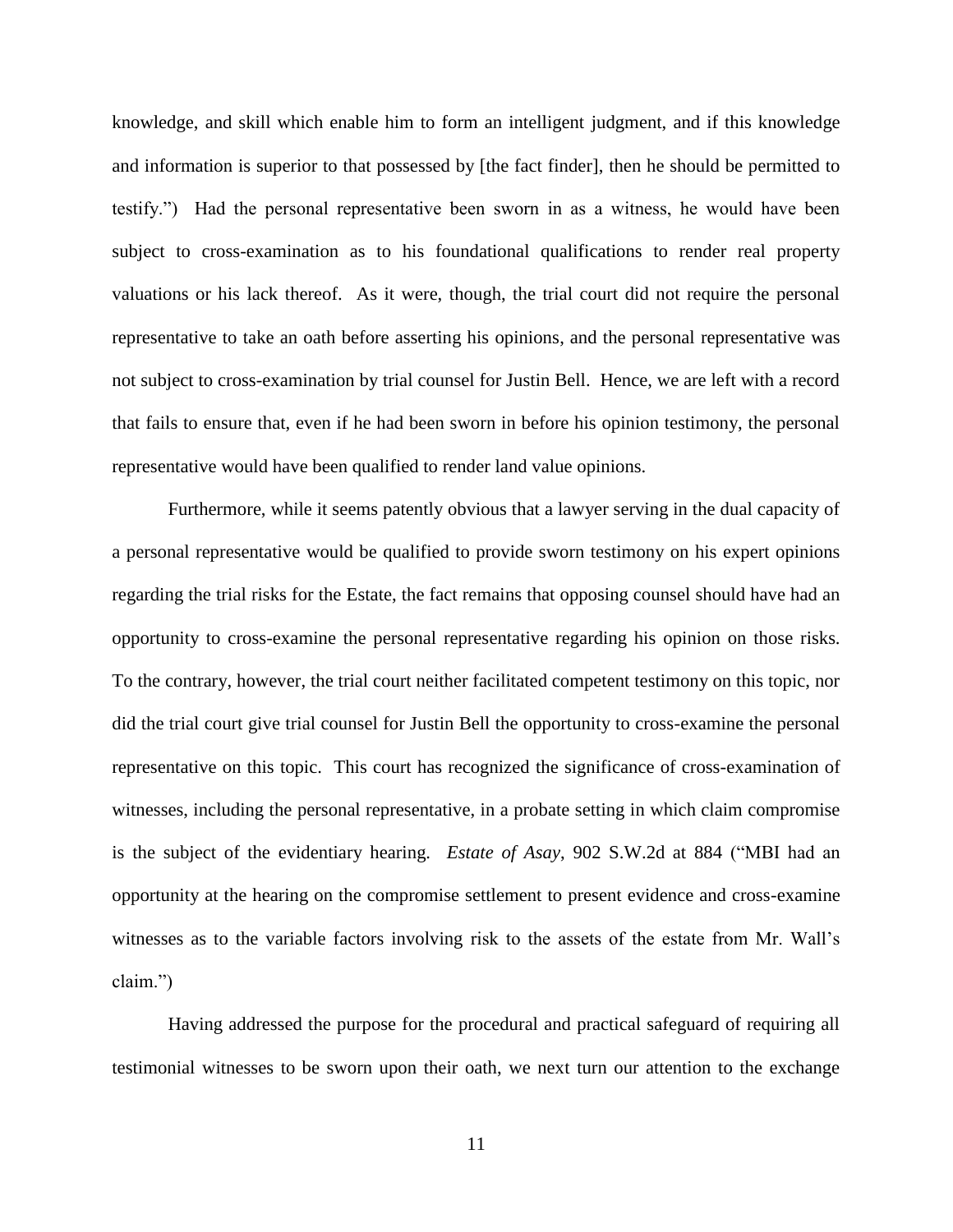knowledge, and skill which enable him to form an intelligent judgment, and if this knowledge and information is superior to that possessed by [the fact finder], then he should be permitted to testify.") Had the personal representative been sworn in as a witness, he would have been subject to cross-examination as to his foundational qualifications to render real property valuations or his lack thereof. As it were, though, the trial court did not require the personal representative to take an oath before asserting his opinions, and the personal representative was not subject to cross-examination by trial counsel for Justin Bell. Hence, we are left with a record that fails to ensure that, even if he had been sworn in before his opinion testimony, the personal representative would have been qualified to render land value opinions.

Furthermore, while it seems patently obvious that a lawyer serving in the dual capacity of a personal representative would be qualified to provide sworn testimony on his expert opinions regarding the trial risks for the Estate, the fact remains that opposing counsel should have had an opportunity to cross-examine the personal representative regarding his opinion on those risks. To the contrary, however, the trial court neither facilitated competent testimony on this topic, nor did the trial court give trial counsel for Justin Bell the opportunity to cross-examine the personal representative on this topic. This court has recognized the significance of cross-examination of witnesses, including the personal representative, in a probate setting in which claim compromise is the subject of the evidentiary hearing. *Estate of Asay*, 902 S.W.2d at 884 ("MBI had an opportunity at the hearing on the compromise settlement to present evidence and cross-examine witnesses as to the variable factors involving risk to the assets of the estate from Mr. Wall"s claim.")

Having addressed the purpose for the procedural and practical safeguard of requiring all testimonial witnesses to be sworn upon their oath, we next turn our attention to the exchange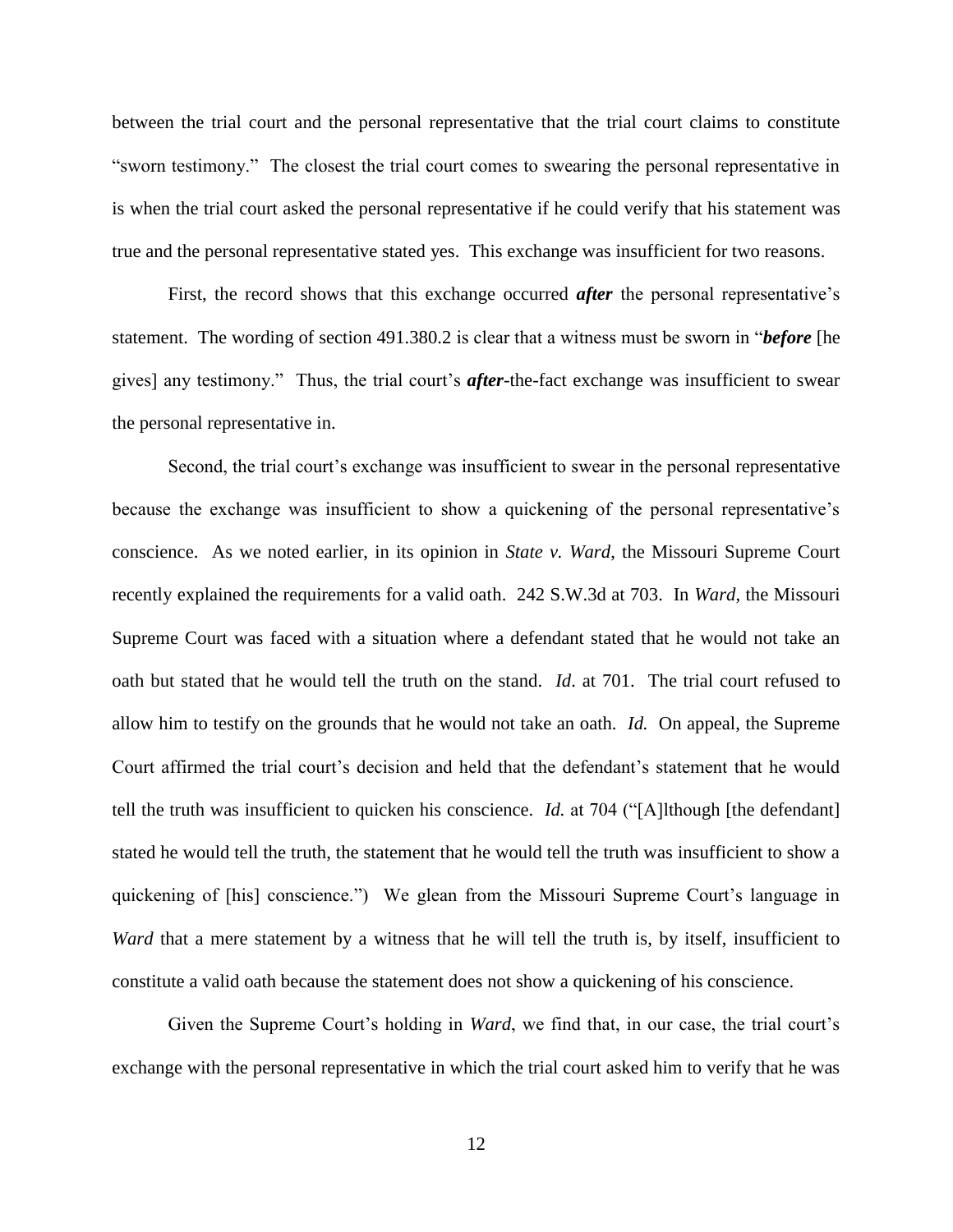between the trial court and the personal representative that the trial court claims to constitute "sworn testimony." The closest the trial court comes to swearing the personal representative in is when the trial court asked the personal representative if he could verify that his statement was true and the personal representative stated yes. This exchange was insufficient for two reasons.

First, the record shows that this exchange occurred *after* the personal representative's statement. The wording of section 491.380.2 is clear that a witness must be sworn in "*before* [he gives] any testimony." Thus, the trial court's *after*-the-fact exchange was insufficient to swear the personal representative in.

Second, the trial court's exchange was insufficient to swear in the personal representative because the exchange was insufficient to show a quickening of the personal representative"s conscience. As we noted earlier, in its opinion in *State v. Ward*, the Missouri Supreme Court recently explained the requirements for a valid oath. 242 S.W.3d at 703. In *Ward*, the Missouri Supreme Court was faced with a situation where a defendant stated that he would not take an oath but stated that he would tell the truth on the stand. *Id*. at 701. The trial court refused to allow him to testify on the grounds that he would not take an oath. *Id.* On appeal, the Supreme Court affirmed the trial court"s decision and held that the defendant"s statement that he would tell the truth was insufficient to quicken his conscience. *Id.* at 704 ("[A]lthough [the defendant] stated he would tell the truth, the statement that he would tell the truth was insufficient to show a quickening of [his] conscience.") We glean from the Missouri Supreme Court"s language in *Ward* that a mere statement by a witness that he will tell the truth is, by itself, insufficient to constitute a valid oath because the statement does not show a quickening of his conscience.

Given the Supreme Court's holding in *Ward*, we find that, in our case, the trial court's exchange with the personal representative in which the trial court asked him to verify that he was